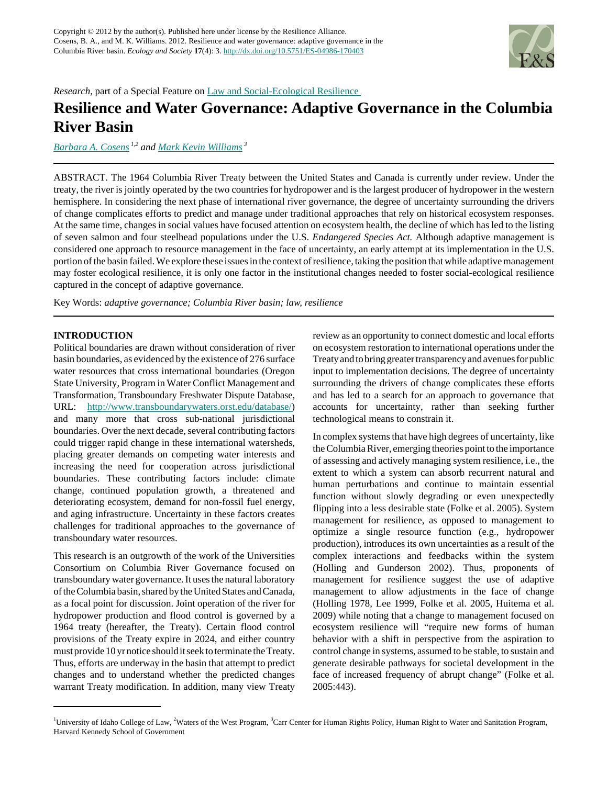

*Research*, part of a Special Feature on [Law and Social-Ecological Resilience](http://www.ecologyandsociety.org/viewissue.php?sf=78) 

# **Resilience and Water Governance: Adaptive Governance in the Columbia River Basin**

*[Barbara A. Cosens](mailto:bcosens@uidaho.edu) 1,2 and [Mark Kevin Williams](mailto:mark_williams@hks.harvard.edu)<sup>3</sup>*

ABSTRACT. The 1964 Columbia River Treaty between the United States and Canada is currently under review. Under the treaty, the river is jointly operated by the two countries for hydropower and is the largest producer of hydropower in the western hemisphere. In considering the next phase of international river governance, the degree of uncertainty surrounding the drivers of change complicates efforts to predict and manage under traditional approaches that rely on historical ecosystem responses. At the same time, changes in social values have focused attention on ecosystem health, the decline of which has led to the listing of seven salmon and four steelhead populations under the U.S. *Endangered Species Act.* Although adaptive management is considered one approach to resource management in the face of uncertainty, an early attempt at its implementation in the U.S. portion of the basin failed. We explore these issues in the context of resilience, taking the position that while adaptive management may foster ecological resilience, it is only one factor in the institutional changes needed to foster social-ecological resilience captured in the concept of adaptive governance.

Key Words: *adaptive governance; Columbia River basin; law, resilience*

## **INTRODUCTION**

Political boundaries are drawn without consideration of river basin boundaries, as evidenced by the existence of 276 surface water resources that cross international boundaries (Oregon State University, Program in Water Conflict Management and Transformation, Transboundary Freshwater Dispute Database, URL: [http://www.transboundarywaters.orst.edu/database/\)](http://www.transboundarywaters.orst.edu/database/) and many more that cross sub-national jurisdictional boundaries. Over the next decade, several contributing factors could trigger rapid change in these international watersheds, placing greater demands on competing water interests and increasing the need for cooperation across jurisdictional boundaries. These contributing factors include: climate change, continued population growth, a threatened and deteriorating ecosystem, demand for non-fossil fuel energy, and aging infrastructure. Uncertainty in these factors creates challenges for traditional approaches to the governance of transboundary water resources.

This research is an outgrowth of the work of the Universities Consortium on Columbia River Governance focused on transboundary water governance. It uses the natural laboratory of the Columbia basin, shared by the United States and Canada, as a focal point for discussion. Joint operation of the river for hydropower production and flood control is governed by a 1964 treaty (hereafter, the Treaty). Certain flood control provisions of the Treaty expire in 2024, and either country must provide 10 yr notice should it seek to terminate the Treaty. Thus, efforts are underway in the basin that attempt to predict changes and to understand whether the predicted changes warrant Treaty modification. In addition, many view Treaty review as an opportunity to connect domestic and local efforts on ecosystem restoration to international operations under the Treaty and to bring greater transparency and avenues for public input to implementation decisions. The degree of uncertainty surrounding the drivers of change complicates these efforts and has led to a search for an approach to governance that accounts for uncertainty, rather than seeking further technological means to constrain it.

In complex systems that have high degrees of uncertainty, like the Columbia River, emerging theories point to the importance of assessing and actively managing system resilience, i.e., the extent to which a system can absorb recurrent natural and human perturbations and continue to maintain essential function without slowly degrading or even unexpectedly flipping into a less desirable state (Folke et al. 2005). System management for resilience, as opposed to management to optimize a single resource function (e.g., hydropower production), introduces its own uncertainties as a result of the complex interactions and feedbacks within the system (Holling and Gunderson 2002). Thus, proponents of management for resilience suggest the use of adaptive management to allow adjustments in the face of change (Holling 1978, Lee 1999, Folke et al. 2005, Huitema et al. 2009) while noting that a change to management focused on ecosystem resilience will "require new forms of human behavior with a shift in perspective from the aspiration to control change in systems, assumed to be stable, to sustain and generate desirable pathways for societal development in the face of increased frequency of abrupt change" (Folke et al. 2005:443).

<sup>&</sup>lt;sup>1</sup>University of Idaho College of Law, <sup>2</sup>Waters of the West Program, <sup>3</sup>Carr Center for Human Rights Policy, Human Right to Water and Sanitation Program, Harvard Kennedy School of Government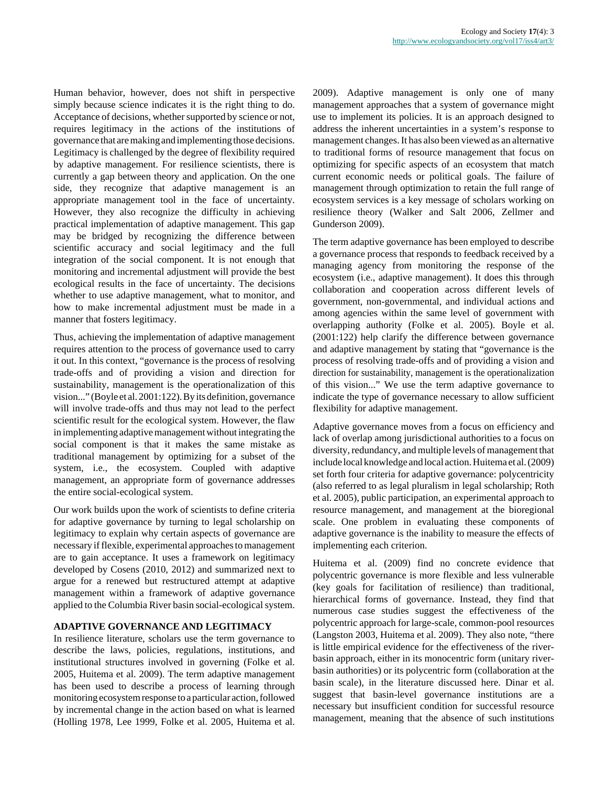Human behavior, however, does not shift in perspective simply because science indicates it is the right thing to do. Acceptance of decisions, whether supported by science or not, requires legitimacy in the actions of the institutions of governance that are making and implementing those decisions. Legitimacy is challenged by the degree of flexibility required by adaptive management. For resilience scientists, there is currently a gap between theory and application. On the one side, they recognize that adaptive management is an appropriate management tool in the face of uncertainty. However, they also recognize the difficulty in achieving practical implementation of adaptive management. This gap may be bridged by recognizing the difference between scientific accuracy and social legitimacy and the full integration of the social component. It is not enough that monitoring and incremental adjustment will provide the best ecological results in the face of uncertainty. The decisions whether to use adaptive management, what to monitor, and how to make incremental adjustment must be made in a manner that fosters legitimacy.

Thus, achieving the implementation of adaptive management requires attention to the process of governance used to carry it out. In this context, "governance is the process of resolving trade-offs and of providing a vision and direction for sustainability, management is the operationalization of this vision..." (Boyle et al. 2001:122). By its definition, governance will involve trade-offs and thus may not lead to the perfect scientific result for the ecological system. However, the flaw in implementing adaptive management without integrating the social component is that it makes the same mistake as traditional management by optimizing for a subset of the system, i.e., the ecosystem. Coupled with adaptive management, an appropriate form of governance addresses the entire social-ecological system.

Our work builds upon the work of scientists to define criteria for adaptive governance by turning to legal scholarship on legitimacy to explain why certain aspects of governance are necessary if flexible, experimental approaches to management are to gain acceptance. It uses a framework on legitimacy developed by Cosens (2010, 2012) and summarized next to argue for a renewed but restructured attempt at adaptive management within a framework of adaptive governance applied to the Columbia River basin social-ecological system.

## **ADAPTIVE GOVERNANCE AND LEGITIMACY**

In resilience literature, scholars use the term governance to describe the laws, policies, regulations, institutions, and institutional structures involved in governing (Folke et al. 2005, Huitema et al. 2009). The term adaptive management has been used to describe a process of learning through monitoring ecosystem response to a particular action, followed by incremental change in the action based on what is learned (Holling 1978, Lee 1999, Folke et al. 2005, Huitema et al. 2009). Adaptive management is only one of many management approaches that a system of governance might use to implement its policies. It is an approach designed to address the inherent uncertainties in a system's response to management changes. It has also been viewed as an alternative to traditional forms of resource management that focus on optimizing for specific aspects of an ecosystem that match current economic needs or political goals. The failure of management through optimization to retain the full range of ecosystem services is a key message of scholars working on resilience theory (Walker and Salt 2006, Zellmer and Gunderson 2009).

The term adaptive governance has been employed to describe a governance process that responds to feedback received by a managing agency from monitoring the response of the ecosystem (i.e., adaptive management). It does this through collaboration and cooperation across different levels of government, non-governmental, and individual actions and among agencies within the same level of government with overlapping authority (Folke et al. 2005). Boyle et al. (2001:122) help clarify the difference between governance and adaptive management by stating that "governance is the process of resolving trade-offs and of providing a vision and direction for sustainability, management is the operationalization of this vision..." We use the term adaptive governance to indicate the type of governance necessary to allow sufficient flexibility for adaptive management.

Adaptive governance moves from a focus on efficiency and lack of overlap among jurisdictional authorities to a focus on diversity, redundancy, and multiple levels of management that include local knowledge and local action. Huitema et al. (2009) set forth four criteria for adaptive governance: polycentricity (also referred to as legal pluralism in legal scholarship; Roth et al. 2005), public participation, an experimental approach to resource management, and management at the bioregional scale. One problem in evaluating these components of adaptive governance is the inability to measure the effects of implementing each criterion.

Huitema et al. (2009) find no concrete evidence that polycentric governance is more flexible and less vulnerable (key goals for facilitation of resilience) than traditional, hierarchical forms of governance. Instead, they find that numerous case studies suggest the effectiveness of the polycentric approach for large-scale, common-pool resources (Langston 2003, Huitema et al. 2009). They also note, "there is little empirical evidence for the effectiveness of the riverbasin approach, either in its monocentric form (unitary riverbasin authorities) or its polycentric form (collaboration at the basin scale), in the literature discussed here. Dinar et al. suggest that basin-level governance institutions are a necessary but insufficient condition for successful resource management, meaning that the absence of such institutions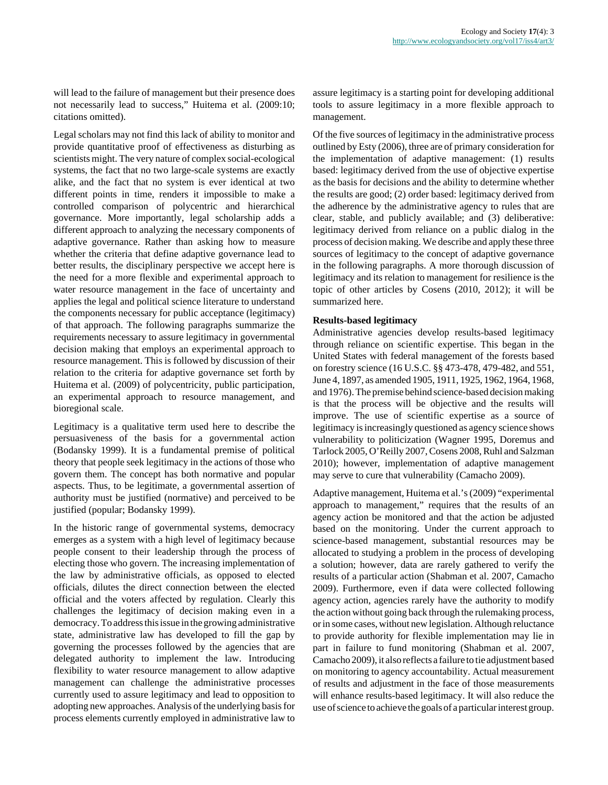will lead to the failure of management but their presence does not necessarily lead to success," Huitema et al. (2009:10; citations omitted).

Legal scholars may not find this lack of ability to monitor and provide quantitative proof of effectiveness as disturbing as scientists might. The very nature of complex social-ecological systems, the fact that no two large-scale systems are exactly alike, and the fact that no system is ever identical at two different points in time, renders it impossible to make a controlled comparison of polycentric and hierarchical governance. More importantly, legal scholarship adds a different approach to analyzing the necessary components of adaptive governance. Rather than asking how to measure whether the criteria that define adaptive governance lead to better results, the disciplinary perspective we accept here is the need for a more flexible and experimental approach to water resource management in the face of uncertainty and applies the legal and political science literature to understand the components necessary for public acceptance (legitimacy) of that approach. The following paragraphs summarize the requirements necessary to assure legitimacy in governmental decision making that employs an experimental approach to resource management. This is followed by discussion of their relation to the criteria for adaptive governance set forth by Huitema et al. (2009) of polycentricity, public participation, an experimental approach to resource management, and bioregional scale.

Legitimacy is a qualitative term used here to describe the persuasiveness of the basis for a governmental action (Bodansky 1999). It is a fundamental premise of political theory that people seek legitimacy in the actions of those who govern them. The concept has both normative and popular aspects. Thus, to be legitimate, a governmental assertion of authority must be justified (normative) and perceived to be justified (popular; Bodansky 1999).

In the historic range of governmental systems, democracy emerges as a system with a high level of legitimacy because people consent to their leadership through the process of electing those who govern. The increasing implementation of the law by administrative officials, as opposed to elected officials, dilutes the direct connection between the elected official and the voters affected by regulation. Clearly this challenges the legitimacy of decision making even in a democracy. To address this issue in the growing administrative state, administrative law has developed to fill the gap by governing the processes followed by the agencies that are delegated authority to implement the law. Introducing flexibility to water resource management to allow adaptive management can challenge the administrative processes currently used to assure legitimacy and lead to opposition to adopting new approaches. Analysis of the underlying basis for process elements currently employed in administrative law to assure legitimacy is a starting point for developing additional tools to assure legitimacy in a more flexible approach to management.

Of the five sources of legitimacy in the administrative process outlined by Esty (2006), three are of primary consideration for the implementation of adaptive management: (1) results based: legitimacy derived from the use of objective expertise as the basis for decisions and the ability to determine whether the results are good; (2) order based: legitimacy derived from the adherence by the administrative agency to rules that are clear, stable, and publicly available; and (3) deliberative: legitimacy derived from reliance on a public dialog in the process of decision making. We describe and apply these three sources of legitimacy to the concept of adaptive governance in the following paragraphs. A more thorough discussion of legitimacy and its relation to management for resilience is the topic of other articles by Cosens (2010, 2012); it will be summarized here.

#### **Results-based legitimacy**

Administrative agencies develop results-based legitimacy through reliance on scientific expertise. This began in the United States with federal management of the forests based on forestry science (16 U.S.C. §§ 473-478, 479-482, and 551, June 4, 1897, as amended 1905, 1911, 1925, 1962, 1964, 1968, and 1976). The premise behind science-based decision making is that the process will be objective and the results will improve. The use of scientific expertise as a source of legitimacy is increasingly questioned as agency science shows vulnerability to politicization (Wagner 1995, Doremus and Tarlock 2005, O'Reilly 2007, Cosens 2008, Ruhl and Salzman 2010); however, implementation of adaptive management may serve to cure that vulnerability (Camacho 2009).

Adaptive management, Huitema et al.'s (2009) "experimental approach to management," requires that the results of an agency action be monitored and that the action be adjusted based on the monitoring. Under the current approach to science-based management, substantial resources may be allocated to studying a problem in the process of developing a solution; however, data are rarely gathered to verify the results of a particular action (Shabman et al. 2007, Camacho 2009). Furthermore, even if data were collected following agency action, agencies rarely have the authority to modify the action without going back through the rulemaking process, or in some cases, without new legislation. Although reluctance to provide authority for flexible implementation may lie in part in failure to fund monitoring (Shabman et al. 2007, Camacho 2009), it also reflects a failure to tie adjustment based on monitoring to agency accountability. Actual measurement of results and adjustment in the face of those measurements will enhance results-based legitimacy. It will also reduce the use of science to achieve the goals of a particular interest group.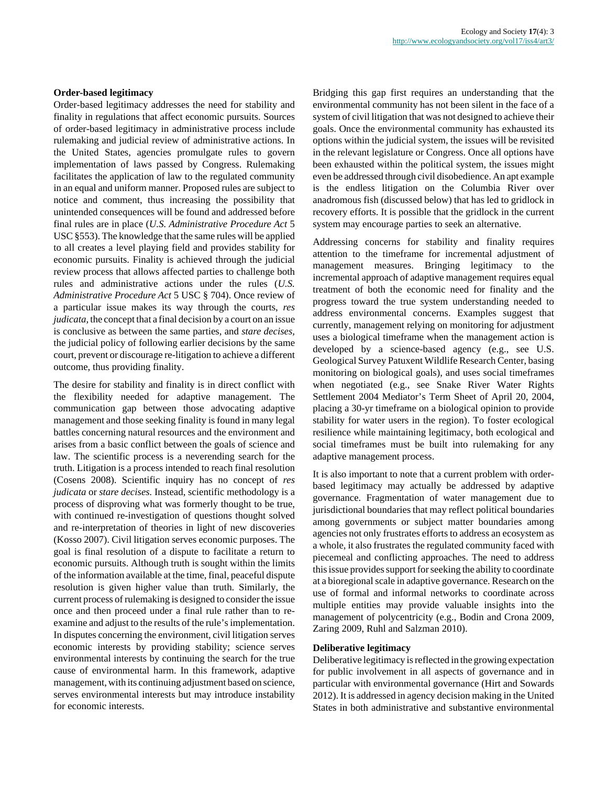#### **Order-based legitimacy**

Order-based legitimacy addresses the need for stability and finality in regulations that affect economic pursuits. Sources of order-based legitimacy in administrative process include rulemaking and judicial review of administrative actions. In the United States, agencies promulgate rules to govern implementation of laws passed by Congress. Rulemaking facilitates the application of law to the regulated community in an equal and uniform manner. Proposed rules are subject to notice and comment, thus increasing the possibility that unintended consequences will be found and addressed before final rules are in place (*U.S. Administrative Procedure Act* 5 USC §553). The knowledge that the same rules will be applied to all creates a level playing field and provides stability for economic pursuits. Finality is achieved through the judicial review process that allows affected parties to challenge both rules and administrative actions under the rules (*U.S. Administrative Procedure Act* 5 USC § 704). Once review of a particular issue makes its way through the courts, *res judicata,* the concept that a final decision by a court on an issue is conclusive as between the same parties, and *stare decises,* the judicial policy of following earlier decisions by the same court, prevent or discourage re-litigation to achieve a different outcome, thus providing finality.

The desire for stability and finality is in direct conflict with the flexibility needed for adaptive management. The communication gap between those advocating adaptive management and those seeking finality is found in many legal battles concerning natural resources and the environment and arises from a basic conflict between the goals of science and law. The scientific process is a neverending search for the truth. Litigation is a process intended to reach final resolution (Cosens 2008). Scientific inquiry has no concept of *res judicata* or *stare decises.* Instead, scientific methodology is a process of disproving what was formerly thought to be true, with continued re-investigation of questions thought solved and re-interpretation of theories in light of new discoveries (Kosso 2007). Civil litigation serves economic purposes. The goal is final resolution of a dispute to facilitate a return to economic pursuits. Although truth is sought within the limits of the information available at the time, final, peaceful dispute resolution is given higher value than truth. Similarly, the current process of rulemaking is designed to consider the issue once and then proceed under a final rule rather than to reexamine and adjust to the results of the rule's implementation. In disputes concerning the environment, civil litigation serves economic interests by providing stability; science serves environmental interests by continuing the search for the true cause of environmental harm. In this framework, adaptive management, with its continuing adjustment based on science, serves environmental interests but may introduce instability for economic interests.

Bridging this gap first requires an understanding that the environmental community has not been silent in the face of a system of civil litigation that was not designed to achieve their goals. Once the environmental community has exhausted its options within the judicial system, the issues will be revisited in the relevant legislature or Congress. Once all options have been exhausted within the political system, the issues might even be addressed through civil disobedience. An apt example is the endless litigation on the Columbia River over anadromous fish (discussed below) that has led to gridlock in recovery efforts. It is possible that the gridlock in the current system may encourage parties to seek an alternative.

Addressing concerns for stability and finality requires attention to the timeframe for incremental adjustment of management measures. Bringing legitimacy to the incremental approach of adaptive management requires equal treatment of both the economic need for finality and the progress toward the true system understanding needed to address environmental concerns. Examples suggest that currently, management relying on monitoring for adjustment uses a biological timeframe when the management action is developed by a science-based agency (e.g., see U.S. Geological Survey Patuxent Wildlife Research Center, basing monitoring on biological goals), and uses social timeframes when negotiated (e.g., see Snake River Water Rights Settlement 2004 Mediator's Term Sheet of April 20, 2004, placing a 30-yr timeframe on a biological opinion to provide stability for water users in the region). To foster ecological resilience while maintaining legitimacy, both ecological and social timeframes must be built into rulemaking for any adaptive management process.

It is also important to note that a current problem with orderbased legitimacy may actually be addressed by adaptive governance. Fragmentation of water management due to jurisdictional boundaries that may reflect political boundaries among governments or subject matter boundaries among agencies not only frustrates efforts to address an ecosystem as a whole, it also frustrates the regulated community faced with piecemeal and conflicting approaches. The need to address this issue provides support for seeking the ability to coordinate at a bioregional scale in adaptive governance. Research on the use of formal and informal networks to coordinate across multiple entities may provide valuable insights into the management of polycentricity (e.g., Bodin and Crona 2009, Zaring 2009, Ruhl and Salzman 2010).

#### **Deliberative legitimacy**

Deliberative legitimacy is reflected in the growing expectation for public involvement in all aspects of governance and in particular with environmental governance (Hirt and Sowards 2012). It is addressed in agency decision making in the United States in both administrative and substantive environmental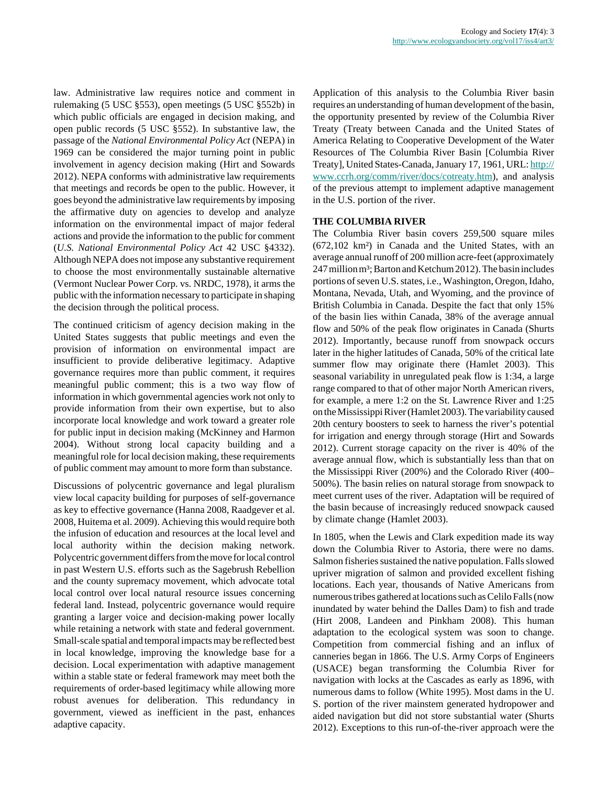law. Administrative law requires notice and comment in rulemaking (5 USC §553), open meetings (5 USC §552b) in which public officials are engaged in decision making, and open public records (5 USC §552). In substantive law, the passage of the *National Environmental Policy Act* (NEPA) in 1969 can be considered the major turning point in public involvement in agency decision making (Hirt and Sowards 2012). NEPA conforms with administrative law requirements that meetings and records be open to the public. However, it goes beyond the administrative law requirements by imposing the affirmative duty on agencies to develop and analyze information on the environmental impact of major federal actions and provide the information to the public for comment (*U.S. National Environmental Policy Act* 42 USC §4332). Although NEPA does not impose any substantive requirement to choose the most environmentally sustainable alternative (Vermont Nuclear Power Corp. vs. NRDC, 1978), it arms the public with the information necessary to participate in shaping the decision through the political process.

The continued criticism of agency decision making in the United States suggests that public meetings and even the provision of information on environmental impact are insufficient to provide deliberative legitimacy. Adaptive governance requires more than public comment, it requires meaningful public comment; this is a two way flow of information in which governmental agencies work not only to provide information from their own expertise, but to also incorporate local knowledge and work toward a greater role for public input in decision making (McKinney and Harmon 2004). Without strong local capacity building and a meaningful role for local decision making, these requirements of public comment may amount to more form than substance.

Discussions of polycentric governance and legal pluralism view local capacity building for purposes of self-governance as key to effective governance (Hanna 2008, Raadgever et al. 2008, Huitema et al. 2009). Achieving this would require both the infusion of education and resources at the local level and local authority within the decision making network. Polycentric government differs from the move for local control in past Western U.S. efforts such as the Sagebrush Rebellion and the county supremacy movement, which advocate total local control over local natural resource issues concerning federal land. Instead, polycentric governance would require granting a larger voice and decision-making power locally while retaining a network with state and federal government. Small-scale spatial and temporal impacts may be reflected best in local knowledge, improving the knowledge base for a decision. Local experimentation with adaptive management within a stable state or federal framework may meet both the requirements of order-based legitimacy while allowing more robust avenues for deliberation. This redundancy in government, viewed as inefficient in the past, enhances adaptive capacity.

Application of this analysis to the Columbia River basin requires an understanding of human development of the basin, the opportunity presented by review of the Columbia River Treaty (Treaty between Canada and the United States of America Relating to Cooperative Development of the Water Resources of The Columbia River Basin [Columbia River Treaty], United States-Canada, January 17, 1961, URL: [http://](http://www.ccrh.org/comm/river/docs/cotreaty.htm) [www.ccrh.org/comm/river/docs/cotreaty.htm\)](http://www.ccrh.org/comm/river/docs/cotreaty.htm), and analysis of the previous attempt to implement adaptive management in the U.S. portion of the river.

## **THE COLUMBIA RIVER**

The Columbia River basin covers 259,500 square miles (672,102 km²) in Canada and the United States, with an average annual runoff of 200 million acre-feet (approximately 247 million m<sup>3</sup>; Barton and Ketchum 2012). The basin includes portions of seven U.S. states, i.e., Washington, Oregon, Idaho, Montana, Nevada, Utah, and Wyoming, and the province of British Columbia in Canada. Despite the fact that only 15% of the basin lies within Canada, 38% of the average annual flow and 50% of the peak flow originates in Canada (Shurts 2012). Importantly, because runoff from snowpack occurs later in the higher latitudes of Canada, 50% of the critical late summer flow may originate there (Hamlet 2003). This seasonal variability in unregulated peak flow is 1:34, a large range compared to that of other major North American rivers, for example, a mere 1:2 on the St. Lawrence River and 1:25 on the Mississippi River (Hamlet 2003). The variability caused 20th century boosters to seek to harness the river's potential for irrigation and energy through storage (Hirt and Sowards 2012). Current storage capacity on the river is 40% of the average annual flow, which is substantially less than that on the Mississippi River (200%) and the Colorado River (400– 500%). The basin relies on natural storage from snowpack to meet current uses of the river. Adaptation will be required of the basin because of increasingly reduced snowpack caused by climate change (Hamlet 2003).

In 1805, when the Lewis and Clark expedition made its way down the Columbia River to Astoria, there were no dams. Salmon fisheries sustained the native population. Falls slowed upriver migration of salmon and provided excellent fishing locations. Each year, thousands of Native Americans from numerous tribes gathered at locations such as Celilo Falls (now inundated by water behind the Dalles Dam) to fish and trade (Hirt 2008, Landeen and Pinkham 2008). This human adaptation to the ecological system was soon to change. Competition from commercial fishing and an influx of canneries began in 1866. The U.S. Army Corps of Engineers (USACE) began transforming the Columbia River for navigation with locks at the Cascades as early as 1896, with numerous dams to follow (White 1995). Most dams in the U. S. portion of the river mainstem generated hydropower and aided navigation but did not store substantial water (Shurts 2012). Exceptions to this run-of-the-river approach were the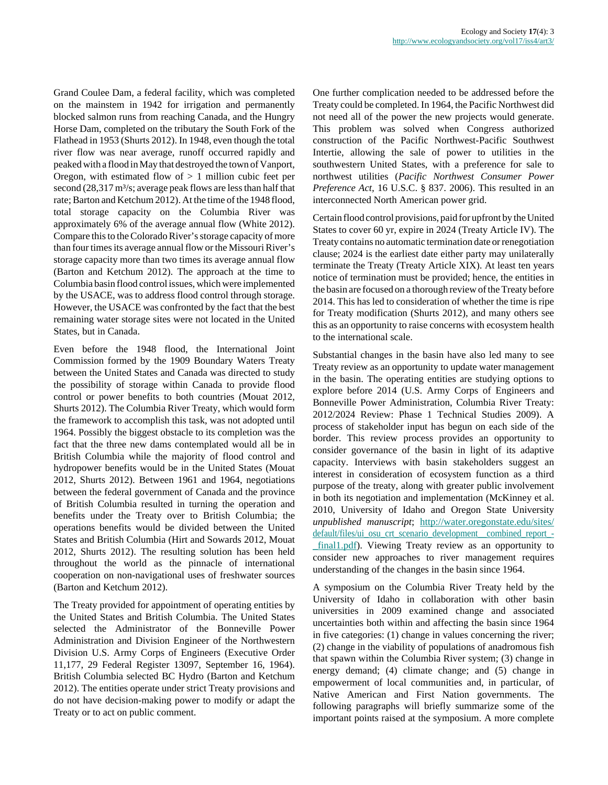Grand Coulee Dam, a federal facility, which was completed on the mainstem in 1942 for irrigation and permanently blocked salmon runs from reaching Canada, and the Hungry Horse Dam, completed on the tributary the South Fork of the Flathead in 1953 (Shurts 2012). In 1948, even though the total river flow was near average, runoff occurred rapidly and peaked with a flood in May that destroyed the town of Vanport, Oregon, with estimated flow of  $> 1$  million cubic feet per second (28,317 m<sup>3</sup>/s; average peak flows are less than half that rate; Barton and Ketchum 2012). At the time of the 1948 flood, total storage capacity on the Columbia River was approximately 6% of the average annual flow (White 2012). Compare this to the Colorado River's storage capacity of more than four times its average annual flow or the Missouri River's storage capacity more than two times its average annual flow (Barton and Ketchum 2012). The approach at the time to Columbia basin flood control issues, which were implemented by the USACE, was to address flood control through storage. However, the USACE was confronted by the fact that the best remaining water storage sites were not located in the United States, but in Canada.

Even before the 1948 flood, the International Joint Commission formed by the 1909 Boundary Waters Treaty between the United States and Canada was directed to study the possibility of storage within Canada to provide flood control or power benefits to both countries (Mouat 2012, Shurts 2012). The Columbia River Treaty, which would form the framework to accomplish this task, was not adopted until 1964. Possibly the biggest obstacle to its completion was the fact that the three new dams contemplated would all be in British Columbia while the majority of flood control and hydropower benefits would be in the United States (Mouat 2012, Shurts 2012). Between 1961 and 1964, negotiations between the federal government of Canada and the province of British Columbia resulted in turning the operation and benefits under the Treaty over to British Columbia; the operations benefits would be divided between the United States and British Columbia (Hirt and Sowards 2012, Mouat 2012, Shurts 2012). The resulting solution has been held throughout the world as the pinnacle of international cooperation on non-navigational uses of freshwater sources (Barton and Ketchum 2012).

The Treaty provided for appointment of operating entities by the United States and British Columbia. The United States selected the Administrator of the Bonneville Power Administration and Division Engineer of the Northwestern Division U.S. Army Corps of Engineers (Executive Order 11,177, 29 Federal Register 13097, September 16, 1964). British Columbia selected BC Hydro (Barton and Ketchum 2012). The entities operate under strict Treaty provisions and do not have decision-making power to modify or adapt the Treaty or to act on public comment.

One further complication needed to be addressed before the Treaty could be completed. In 1964, the Pacific Northwest did not need all of the power the new projects would generate. This problem was solved when Congress authorized construction of the Pacific Northwest-Pacific Southwest Intertie, allowing the sale of power to utilities in the southwestern United States, with a preference for sale to northwest utilities (*Pacific Northwest Consumer Power Preference Act,* 16 U.S.C. § 837. 2006). This resulted in an interconnected North American power grid.

Certain flood control provisions, paid for upfront by the United States to cover 60 yr, expire in 2024 (Treaty Article IV). The Treaty contains no automatic termination date or renegotiation clause; 2024 is the earliest date either party may unilaterally terminate the Treaty (Treaty Article XIX). At least ten years notice of termination must be provided; hence, the entities in the basin are focused on a thorough review of the Treaty before 2014. This has led to consideration of whether the time is ripe for Treaty modification (Shurts 2012), and many others see this as an opportunity to raise concerns with ecosystem health to the international scale.

Substantial changes in the basin have also led many to see Treaty review as an opportunity to update water management in the basin. The operating entities are studying options to explore before 2014 (U.S. Army Corps of Engineers and Bonneville Power Administration, Columbia River Treaty: 2012/2024 Review: Phase 1 Technical Studies 2009). A process of stakeholder input has begun on each side of the border. This review process provides an opportunity to consider governance of the basin in light of its adaptive capacity. Interviews with basin stakeholders suggest an interest in consideration of ecosystem function as a third purpose of the treaty, along with greater public involvement in both its negotiation and implementation (McKinney et al. 2010, University of Idaho and Oregon State University *unpublished manuscript*; [http://water.oregonstate.edu/sites/](http://water.oregonstate.edu/sites/default/files/ui_osu_crt_scenario_development__combined_report_-_final1.pdf) [default/files/ui\\_osu\\_crt\\_scenario\\_development\\_\\_combined\\_report\\_-](http://water.oregonstate.edu/sites/default/files/ui_osu_crt_scenario_development__combined_report_-_final1.pdf) [\\_final1.pdf](http://water.oregonstate.edu/sites/default/files/ui_osu_crt_scenario_development__combined_report_-_final1.pdf)). Viewing Treaty review as an opportunity to consider new approaches to river management requires understanding of the changes in the basin since 1964.

A symposium on the Columbia River Treaty held by the University of Idaho in collaboration with other basin universities in 2009 examined change and associated uncertainties both within and affecting the basin since 1964 in five categories: (1) change in values concerning the river; (2) change in the viability of populations of anadromous fish that spawn within the Columbia River system; (3) change in energy demand; (4) climate change; and (5) change in empowerment of local communities and, in particular, of Native American and First Nation governments. The following paragraphs will briefly summarize some of the important points raised at the symposium. A more complete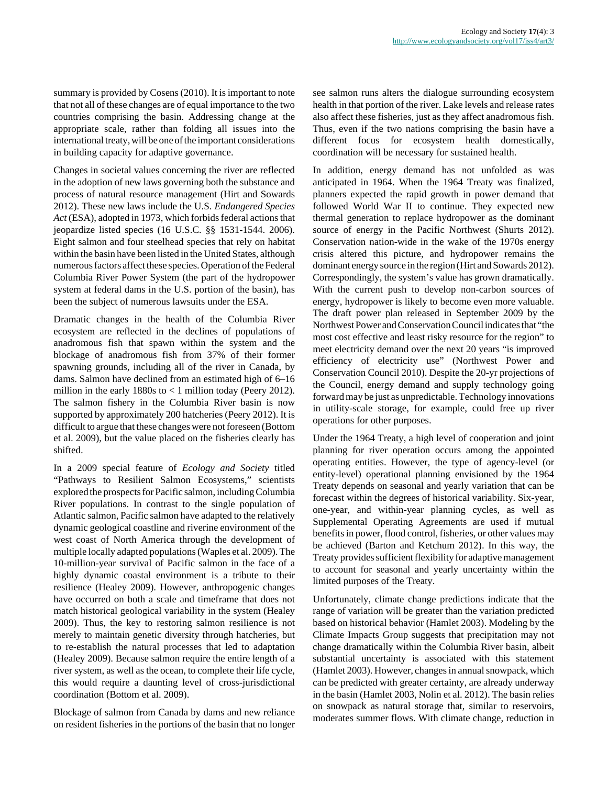summary is provided by Cosens (2010). It is important to note that not all of these changes are of equal importance to the two countries comprising the basin. Addressing change at the appropriate scale, rather than folding all issues into the international treaty, will be one of the important considerations in building capacity for adaptive governance.

Changes in societal values concerning the river are reflected in the adoption of new laws governing both the substance and process of natural resource management (Hirt and Sowards 2012). These new laws include the U.S. *Endangered Species Act* (ESA), adopted in 1973, which forbids federal actions that jeopardize listed species (16 U.S.C. §§ 1531-1544. 2006). Eight salmon and four steelhead species that rely on habitat within the basin have been listed in the United States, although numerous factors affect these species. Operation of the Federal Columbia River Power System (the part of the hydropower system at federal dams in the U.S. portion of the basin), has been the subject of numerous lawsuits under the ESA.

Dramatic changes in the health of the Columbia River ecosystem are reflected in the declines of populations of anadromous fish that spawn within the system and the blockage of anadromous fish from 37% of their former spawning grounds, including all of the river in Canada, by dams. Salmon have declined from an estimated high of 6–16 million in the early 1880s to  $< 1$  million today (Peery 2012). The salmon fishery in the Columbia River basin is now supported by approximately 200 hatcheries (Peery 2012). It is difficult to argue that these changes were not foreseen (Bottom et al. 2009), but the value placed on the fisheries clearly has shifted.

In a 2009 special feature of *Ecology and Society* titled "Pathways to Resilient Salmon Ecosystems," scientists explored the prospects for Pacific salmon, including Columbia River populations. In contrast to the single population of Atlantic salmon, Pacific salmon have adapted to the relatively dynamic geological coastline and riverine environment of the west coast of North America through the development of multiple locally adapted populations (Waples et al. 2009). The 10-million-year survival of Pacific salmon in the face of a highly dynamic coastal environment is a tribute to their resilience (Healey 2009). However, anthropogenic changes have occurred on both a scale and timeframe that does not match historical geological variability in the system (Healey 2009). Thus, the key to restoring salmon resilience is not merely to maintain genetic diversity through hatcheries, but to re-establish the natural processes that led to adaptation (Healey 2009). Because salmon require the entire length of a river system, as well as the ocean, to complete their life cycle, this would require a daunting level of cross-jurisdictional coordination (Bottom et al. 2009).

Blockage of salmon from Canada by dams and new reliance on resident fisheries in the portions of the basin that no longer see salmon runs alters the dialogue surrounding ecosystem health in that portion of the river. Lake levels and release rates also affect these fisheries, just as they affect anadromous fish. Thus, even if the two nations comprising the basin have a different focus for ecosystem health domestically, coordination will be necessary for sustained health.

In addition, energy demand has not unfolded as was anticipated in 1964. When the 1964 Treaty was finalized, planners expected the rapid growth in power demand that followed World War II to continue. They expected new thermal generation to replace hydropower as the dominant source of energy in the Pacific Northwest (Shurts 2012). Conservation nation-wide in the wake of the 1970s energy crisis altered this picture, and hydropower remains the dominant energy source in the region (Hirt and Sowards 2012). Correspondingly, the system's value has grown dramatically. With the current push to develop non-carbon sources of energy, hydropower is likely to become even more valuable. The draft power plan released in September 2009 by the Northwest Power and Conservation Council indicates that "the most cost effective and least risky resource for the region" to meet electricity demand over the next 20 years "is improved efficiency of electricity use" (Northwest Power and Conservation Council 2010). Despite the 20-yr projections of the Council, energy demand and supply technology going forward may be just as unpredictable. Technology innovations in utility-scale storage, for example, could free up river operations for other purposes.

Under the 1964 Treaty, a high level of cooperation and joint planning for river operation occurs among the appointed operating entities. However, the type of agency-level (or entity-level) operational planning envisioned by the 1964 Treaty depends on seasonal and yearly variation that can be forecast within the degrees of historical variability. Six-year, one-year, and within-year planning cycles, as well as Supplemental Operating Agreements are used if mutual benefits in power, flood control, fisheries, or other values may be achieved (Barton and Ketchum 2012). In this way, the Treaty provides sufficient flexibility for adaptive management to account for seasonal and yearly uncertainty within the limited purposes of the Treaty.

Unfortunately, climate change predictions indicate that the range of variation will be greater than the variation predicted based on historical behavior (Hamlet 2003). Modeling by the Climate Impacts Group suggests that precipitation may not change dramatically within the Columbia River basin, albeit substantial uncertainty is associated with this statement (Hamlet 2003). However, changes in annual snowpack, which can be predicted with greater certainty, are already underway in the basin (Hamlet 2003, Nolin et al. 2012). The basin relies on snowpack as natural storage that, similar to reservoirs, moderates summer flows. With climate change, reduction in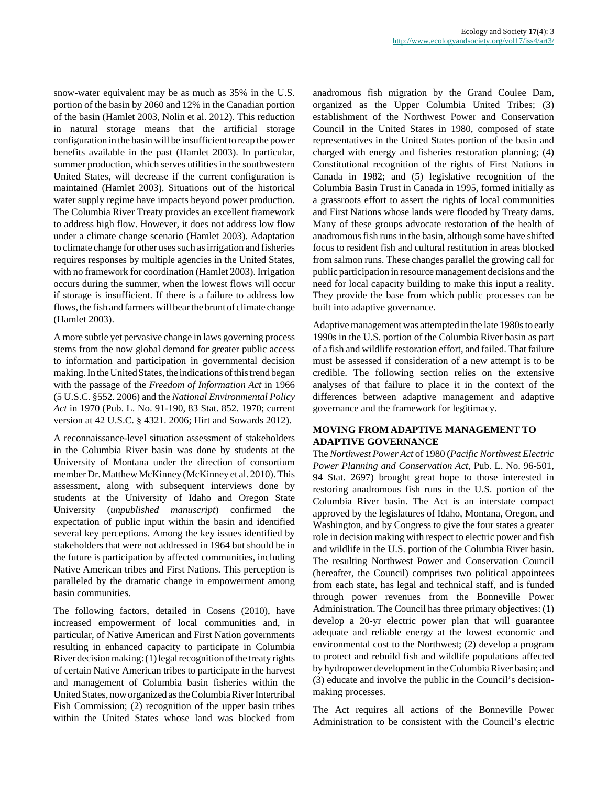snow-water equivalent may be as much as 35% in the U.S. portion of the basin by 2060 and 12% in the Canadian portion of the basin (Hamlet 2003, Nolin et al. 2012). This reduction in natural storage means that the artificial storage configuration in the basin will be insufficient to reap the power benefits available in the past (Hamlet 2003). In particular, summer production, which serves utilities in the southwestern United States, will decrease if the current configuration is maintained (Hamlet 2003). Situations out of the historical water supply regime have impacts beyond power production. The Columbia River Treaty provides an excellent framework to address high flow. However, it does not address low flow under a climate change scenario (Hamlet 2003). Adaptation to climate change for other uses such as irrigation and fisheries requires responses by multiple agencies in the United States, with no framework for coordination (Hamlet 2003). Irrigation occurs during the summer, when the lowest flows will occur if storage is insufficient. If there is a failure to address low flows, the fish and farmers will bear the brunt of climate change (Hamlet 2003).

A more subtle yet pervasive change in laws governing process stems from the now global demand for greater public access to information and participation in governmental decision making. In the United States, the indications of this trend began with the passage of the *Freedom of Information Act* in 1966 (5 U.S.C. §552. 2006) and the *National Environmental Policy Act* in 1970 (Pub. L. No. 91-190, 83 Stat. 852. 1970; current version at 42 U.S.C. § 4321. 2006; Hirt and Sowards 2012).

A reconnaissance-level situation assessment of stakeholders in the Columbia River basin was done by students at the University of Montana under the direction of consortium member Dr. Matthew McKinney (McKinney et al. 2010). This assessment, along with subsequent interviews done by students at the University of Idaho and Oregon State University (*unpublished manuscript*) confirmed the expectation of public input within the basin and identified several key perceptions. Among the key issues identified by stakeholders that were not addressed in 1964 but should be in the future is participation by affected communities, including Native American tribes and First Nations. This perception is paralleled by the dramatic change in empowerment among basin communities.

The following factors, detailed in Cosens (2010), have increased empowerment of local communities and, in particular, of Native American and First Nation governments resulting in enhanced capacity to participate in Columbia River decision making: (1) legal recognition of the treaty rights of certain Native American tribes to participate in the harvest and management of Columbia basin fisheries within the United States, now organized as the Columbia River Intertribal Fish Commission; (2) recognition of the upper basin tribes within the United States whose land was blocked from anadromous fish migration by the Grand Coulee Dam, organized as the Upper Columbia United Tribes; (3) establishment of the Northwest Power and Conservation Council in the United States in 1980, composed of state representatives in the United States portion of the basin and charged with energy and fisheries restoration planning; (4) Constitutional recognition of the rights of First Nations in Canada in 1982; and (5) legislative recognition of the Columbia Basin Trust in Canada in 1995, formed initially as a grassroots effort to assert the rights of local communities and First Nations whose lands were flooded by Treaty dams. Many of these groups advocate restoration of the health of anadromous fish runs in the basin, although some have shifted focus to resident fish and cultural restitution in areas blocked from salmon runs. These changes parallel the growing call for public participation in resource management decisions and the need for local capacity building to make this input a reality. They provide the base from which public processes can be built into adaptive governance.

Adaptive management was attempted in the late 1980s to early 1990s in the U.S. portion of the Columbia River basin as part of a fish and wildlife restoration effort, and failed. That failure must be assessed if consideration of a new attempt is to be credible. The following section relies on the extensive analyses of that failure to place it in the context of the differences between adaptive management and adaptive governance and the framework for legitimacy.

## **MOVING FROM ADAPTIVE MANAGEMENT TO ADAPTIVE GOVERNANCE**

The *Northwest Power Act* of 1980 (*Pacific Northwest Electric Power Planning and Conservation Act,* Pub. L. No. 96-501, 94 Stat. 2697) brought great hope to those interested in restoring anadromous fish runs in the U.S. portion of the Columbia River basin. The Act is an interstate compact approved by the legislatures of Idaho, Montana, Oregon, and Washington, and by Congress to give the four states a greater role in decision making with respect to electric power and fish and wildlife in the U.S. portion of the Columbia River basin. The resulting Northwest Power and Conservation Council (hereafter, the Council) comprises two political appointees from each state, has legal and technical staff, and is funded through power revenues from the Bonneville Power Administration. The Council has three primary objectives: (1) develop a 20-yr electric power plan that will guarantee adequate and reliable energy at the lowest economic and environmental cost to the Northwest; (2) develop a program to protect and rebuild fish and wildlife populations affected by hydropower development in the Columbia River basin; and (3) educate and involve the public in the Council's decisionmaking processes.

The Act requires all actions of the Bonneville Power Administration to be consistent with the Council's electric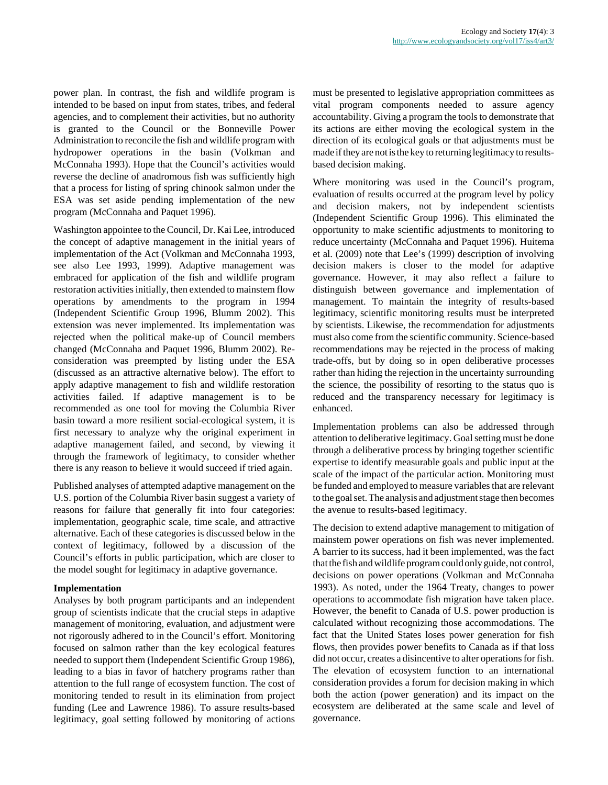power plan. In contrast, the fish and wildlife program is intended to be based on input from states, tribes, and federal agencies, and to complement their activities, but no authority is granted to the Council or the Bonneville Power Administration to reconcile the fish and wildlife program with hydropower operations in the basin (Volkman and McConnaha 1993). Hope that the Council's activities would reverse the decline of anadromous fish was sufficiently high that a process for listing of spring chinook salmon under the ESA was set aside pending implementation of the new program (McConnaha and Paquet 1996).

Washington appointee to the Council, Dr. Kai Lee, introduced the concept of adaptive management in the initial years of implementation of the Act (Volkman and McConnaha 1993, see also Lee 1993, 1999). Adaptive management was embraced for application of the fish and wildlife program restoration activities initially, then extended to mainstem flow operations by amendments to the program in 1994 (Independent Scientific Group 1996, Blumm 2002). This extension was never implemented. Its implementation was rejected when the political make-up of Council members changed (McConnaha and Paquet 1996, Blumm 2002). Reconsideration was preempted by listing under the ESA (discussed as an attractive alternative below). The effort to apply adaptive management to fish and wildlife restoration activities failed. If adaptive management is to be recommended as one tool for moving the Columbia River basin toward a more resilient social-ecological system, it is first necessary to analyze why the original experiment in adaptive management failed, and second, by viewing it through the framework of legitimacy, to consider whether there is any reason to believe it would succeed if tried again.

Published analyses of attempted adaptive management on the U.S. portion of the Columbia River basin suggest a variety of reasons for failure that generally fit into four categories: implementation, geographic scale, time scale, and attractive alternative. Each of these categories is discussed below in the context of legitimacy, followed by a discussion of the Council's efforts in public participation, which are closer to the model sought for legitimacy in adaptive governance.

## **Implementation**

Analyses by both program participants and an independent group of scientists indicate that the crucial steps in adaptive management of monitoring, evaluation, and adjustment were not rigorously adhered to in the Council's effort. Monitoring focused on salmon rather than the key ecological features needed to support them (Independent Scientific Group 1986), leading to a bias in favor of hatchery programs rather than attention to the full range of ecosystem function. The cost of monitoring tended to result in its elimination from project funding (Lee and Lawrence 1986). To assure results-based legitimacy, goal setting followed by monitoring of actions must be presented to legislative appropriation committees as vital program components needed to assure agency accountability. Giving a program the tools to demonstrate that its actions are either moving the ecological system in the direction of its ecological goals or that adjustments must be made if they are not is the key to returning legitimacy to resultsbased decision making.

Where monitoring was used in the Council's program, evaluation of results occurred at the program level by policy and decision makers, not by independent scientists (Independent Scientific Group 1996). This eliminated the opportunity to make scientific adjustments to monitoring to reduce uncertainty (McConnaha and Paquet 1996). Huitema et al. (2009) note that Lee's (1999) description of involving decision makers is closer to the model for adaptive governance. However, it may also reflect a failure to distinguish between governance and implementation of management. To maintain the integrity of results-based legitimacy, scientific monitoring results must be interpreted by scientists. Likewise, the recommendation for adjustments must also come from the scientific community. Science-based recommendations may be rejected in the process of making trade-offs, but by doing so in open deliberative processes rather than hiding the rejection in the uncertainty surrounding the science, the possibility of resorting to the status quo is reduced and the transparency necessary for legitimacy is enhanced.

Implementation problems can also be addressed through attention to deliberative legitimacy. Goal setting must be done through a deliberative process by bringing together scientific expertise to identify measurable goals and public input at the scale of the impact of the particular action. Monitoring must be funded and employed to measure variables that are relevant to the goal set. The analysis and adjustment stage then becomes the avenue to results-based legitimacy.

The decision to extend adaptive management to mitigation of mainstem power operations on fish was never implemented. A barrier to its success, had it been implemented, was the fact that the fish and wildlife program could only guide, not control, decisions on power operations (Volkman and McConnaha 1993). As noted, under the 1964 Treaty, changes to power operations to accommodate fish migration have taken place. However, the benefit to Canada of U.S. power production is calculated without recognizing those accommodations. The fact that the United States loses power generation for fish flows, then provides power benefits to Canada as if that loss did not occur, creates a disincentive to alter operations for fish. The elevation of ecosystem function to an international consideration provides a forum for decision making in which both the action (power generation) and its impact on the ecosystem are deliberated at the same scale and level of governance.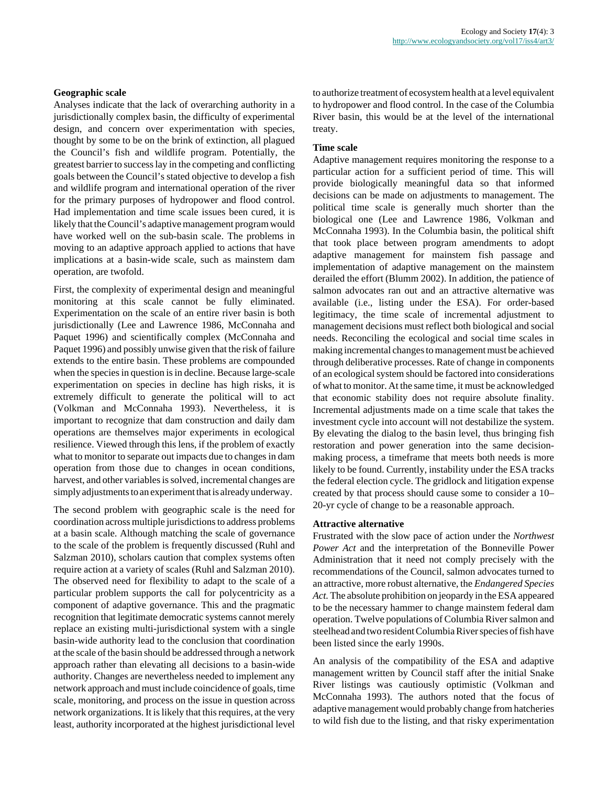#### **Geographic scale**

Analyses indicate that the lack of overarching authority in a jurisdictionally complex basin, the difficulty of experimental design, and concern over experimentation with species, thought by some to be on the brink of extinction, all plagued the Council's fish and wildlife program. Potentially, the greatest barrier to success lay in the competing and conflicting goals between the Council's stated objective to develop a fish and wildlife program and international operation of the river for the primary purposes of hydropower and flood control. Had implementation and time scale issues been cured, it is likely that the Council's adaptive management program would have worked well on the sub-basin scale. The problems in moving to an adaptive approach applied to actions that have implications at a basin-wide scale, such as mainstem dam operation, are twofold.

First, the complexity of experimental design and meaningful monitoring at this scale cannot be fully eliminated. Experimentation on the scale of an entire river basin is both jurisdictionally (Lee and Lawrence 1986, McConnaha and Paquet 1996) and scientifically complex (McConnaha and Paquet 1996) and possibly unwise given that the risk of failure extends to the entire basin. These problems are compounded when the species in question is in decline. Because large-scale experimentation on species in decline has high risks, it is extremely difficult to generate the political will to act (Volkman and McConnaha 1993). Nevertheless, it is important to recognize that dam construction and daily dam operations are themselves major experiments in ecological resilience. Viewed through this lens, if the problem of exactly what to monitor to separate out impacts due to changes in dam operation from those due to changes in ocean conditions, harvest, and other variables is solved, incremental changes are simply adjustments to an experiment that is already underway.

The second problem with geographic scale is the need for coordination across multiple jurisdictions to address problems at a basin scale. Although matching the scale of governance to the scale of the problem is frequently discussed (Ruhl and Salzman 2010), scholars caution that complex systems often require action at a variety of scales (Ruhl and Salzman 2010). The observed need for flexibility to adapt to the scale of a particular problem supports the call for polycentricity as a component of adaptive governance. This and the pragmatic recognition that legitimate democratic systems cannot merely replace an existing multi-jurisdictional system with a single basin-wide authority lead to the conclusion that coordination at the scale of the basin should be addressed through a network approach rather than elevating all decisions to a basin-wide authority. Changes are nevertheless needed to implement any network approach and must include coincidence of goals, time scale, monitoring, and process on the issue in question across network organizations. It is likely that this requires, at the very least, authority incorporated at the highest jurisdictional level to authorize treatment of ecosystem health at a level equivalent to hydropower and flood control. In the case of the Columbia River basin, this would be at the level of the international treaty.

#### **Time scale**

Adaptive management requires monitoring the response to a particular action for a sufficient period of time. This will provide biologically meaningful data so that informed decisions can be made on adjustments to management. The political time scale is generally much shorter than the biological one (Lee and Lawrence 1986, Volkman and McConnaha 1993). In the Columbia basin, the political shift that took place between program amendments to adopt adaptive management for mainstem fish passage and implementation of adaptive management on the mainstem derailed the effort (Blumm 2002). In addition, the patience of salmon advocates ran out and an attractive alternative was available (i.e., listing under the ESA). For order-based legitimacy, the time scale of incremental adjustment to management decisions must reflect both biological and social needs. Reconciling the ecological and social time scales in making incremental changes to management must be achieved through deliberative processes. Rate of change in components of an ecological system should be factored into considerations of what to monitor. At the same time, it must be acknowledged that economic stability does not require absolute finality. Incremental adjustments made on a time scale that takes the investment cycle into account will not destabilize the system. By elevating the dialog to the basin level, thus bringing fish restoration and power generation into the same decisionmaking process, a timeframe that meets both needs is more likely to be found. Currently, instability under the ESA tracks the federal election cycle. The gridlock and litigation expense created by that process should cause some to consider a 10– 20-yr cycle of change to be a reasonable approach.

#### **Attractive alternative**

Frustrated with the slow pace of action under the *Northwest Power Act* and the interpretation of the Bonneville Power Administration that it need not comply precisely with the recommendations of the Council, salmon advocates turned to an attractive, more robust alternative, the *Endangered Species Act.* The absolute prohibition on jeopardy in the ESA appeared to be the necessary hammer to change mainstem federal dam operation. Twelve populations of Columbia River salmon and steelhead and two resident Columbia River species of fish have been listed since the early 1990s.

An analysis of the compatibility of the ESA and adaptive management written by Council staff after the initial Snake River listings was cautiously optimistic (Volkman and McConnaha 1993). The authors noted that the focus of adaptive management would probably change from hatcheries to wild fish due to the listing, and that risky experimentation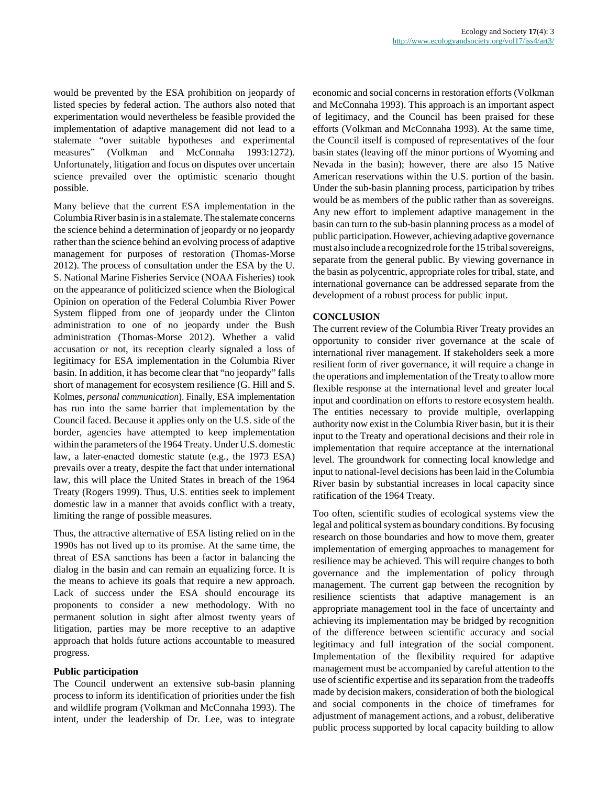would be prevented by the ESA prohibition on jeopardy of listed species by federal action. The authors also noted that experimentation would nevertheless be feasible provided the implementation of adaptive management did not lead to a stalemate "over suitable hypotheses and experimental measures" (Volkman and McConnaha 1993:1272). Unfortunately, litigation and focus on disputes over uncertain science prevailed over the optimistic scenario thought possible.

Many believe that the current ESA implementation in the Columbia River basin is in a stalemate. The stalemate concerns the science behind a determination of jeopardy or no jeopardy rather than the science behind an evolving process of adaptive management for purposes of restoration (Thomas-Morse 2012). The process of consultation under the ESA by the U. S. National Marine Fisheries Service (NOAA Fisheries) took on the appearance of politicized science when the Biological Opinion on operation of the Federal Columbia River Power System flipped from one of jeopardy under the Clinton administration to one of no jeopardy under the Bush administration (Thomas-Morse 2012). Whether a valid accusation or not, its reception clearly signaled a loss of legitimacy for ESA implementation in the Columbia River basin. In addition, it has become clear that "no jeopardy" falls short of management for ecosystem resilience (G. Hill and S. Kolmes, *personal communication*). Finally, ESA implementation has run into the same barrier that implementation by the Council faced. Because it applies only on the U.S. side of the border, agencies have attempted to keep implementation within the parameters of the 1964 Treaty. Under U.S. domestic law, a later-enacted domestic statute (e.g., the 1973 ESA) prevails over a treaty, despite the fact that under international law, this will place the United States in breach of the 1964 Treaty (Rogers 1999). Thus, U.S. entities seek to implement domestic law in a manner that avoids conflict with a treaty, limiting the range of possible measures.

Thus, the attractive alternative of ESA listing relied on in the 1990s has not lived up to its promise. At the same time, the threat of ESA sanctions has been a factor in balancing the dialog in the basin and can remain an equalizing force. It is the means to achieve its goals that require a new approach. Lack of success under the ESA should encourage its proponents to consider a new methodology. With no permanent solution in sight after almost twenty years of litigation, parties may be more receptive to an adaptive approach that holds future actions accountable to measured progress.

## **Public participation**

The Council underwent an extensive sub-basin planning process to inform its identification of priorities under the fish and wildlife program (Volkman and McConnaha 1993). The intent, under the leadership of Dr. Lee, was to integrate economic and social concerns in restoration efforts (Volkman and McConnaha 1993). This approach is an important aspect of legitimacy, and the Council has been praised for these efforts (Volkman and McConnaha 1993). At the same time, the Council itself is composed of representatives of the four basin states (leaving off the minor portions of Wyoming and Nevada in the basin); however, there are also 15 Native American reservations within the U.S. portion of the basin. Under the sub-basin planning process, participation by tribes would be as members of the public rather than as sovereigns. Any new effort to implement adaptive management in the basin can turn to the sub-basin planning process as a model of public participation. However, achieving adaptive governance must also include a recognized role for the 15 tribal sovereigns, separate from the general public. By viewing governance in the basin as polycentric, appropriate roles for tribal, state, and international governance can be addressed separate from the development of a robust process for public input.

## **CONCLUSION**

The current review of the Columbia River Treaty provides an opportunity to consider river governance at the scale of international river management. If stakeholders seek a more resilient form of river governance, it will require a change in the operations and implementation of the Treaty to allow more flexible response at the international level and greater local input and coordination on efforts to restore ecosystem health. The entities necessary to provide multiple, overlapping authority now exist in the Columbia River basin, but it is their input to the Treaty and operational decisions and their role in implementation that require acceptance at the international level. The groundwork for connecting local knowledge and input to national-level decisions has been laid in the Columbia River basin by substantial increases in local capacity since ratification of the 1964 Treaty.

Too often, scientific studies of ecological systems view the legal and political system as boundary conditions. By focusing research on those boundaries and how to move them, greater implementation of emerging approaches to management for resilience may be achieved. This will require changes to both governance and the implementation of policy through management. The current gap between the recognition by resilience scientists that adaptive management is an appropriate management tool in the face of uncertainty and achieving its implementation may be bridged by recognition of the difference between scientific accuracy and social legitimacy and full integration of the social component. Implementation of the flexibility required for adaptive management must be accompanied by careful attention to the use of scientific expertise and its separation from the tradeoffs made by decision makers, consideration of both the biological and social components in the choice of timeframes for adjustment of management actions, and a robust, deliberative public process supported by local capacity building to allow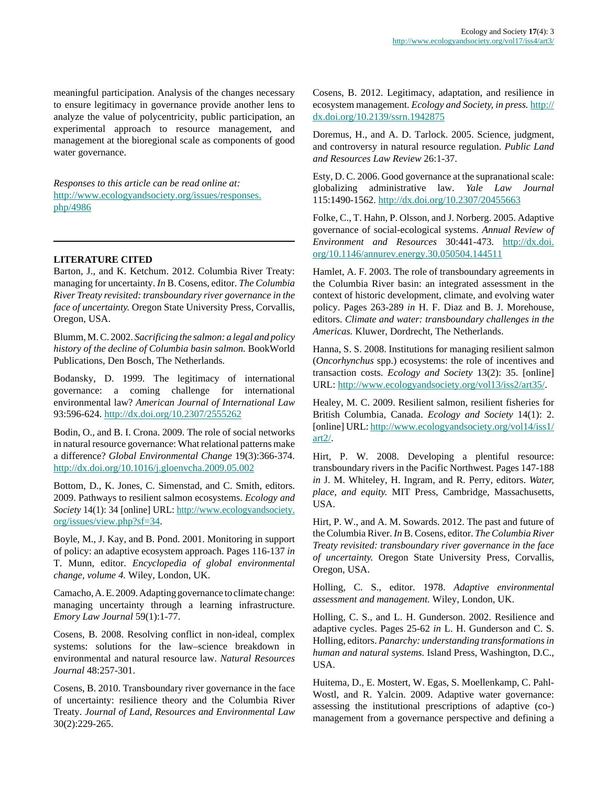meaningful participation. Analysis of the changes necessary to ensure legitimacy in governance provide another lens to analyze the value of polycentricity, public participation, an experimental approach to resource management, and management at the bioregional scale as components of good water governance.

*Responses to this article can be read online at:* [http://www.ecologyandsociety.org/issues/responses.](http://www.ecologyandsociety.org/issues/responses.php/4986) [php/4986](http://www.ecologyandsociety.org/issues/responses.php/4986)

## **LITERATURE CITED**

Barton, J., and K. Ketchum. 2012. Columbia River Treaty: managing for uncertainty. *In* B. Cosens, editor. *The Columbia River Treaty revisited: transboundary river governance in the face of uncertainty.* Oregon State University Press, Corvallis, Oregon, USA.

Blumm, M. C. 2002. *Sacrificing the salmon: a legal and policy history of the decline of Columbia basin salmon.* BookWorld Publications, Den Bosch, The Netherlands.

Bodansky, D. 1999. The legitimacy of international governance: a coming challenge for international environmental law? *American Journal of International Law* 93:596-624.<http://dx.doi.org/10.2307/2555262>

Bodin, O., and B. I. Crona. 2009. The role of social networks in natural resource governance: What relational patterns make a difference? *Global Environmental Change* 19(3):366-374. <http://dx.doi.org/10.1016/j.gloenvcha.2009.05.002>

Bottom, D., K. Jones, C. Simenstad, and C. Smith, editors. 2009. Pathways to resilient salmon ecosystems. *Ecology and Society* 14(1): 34 [online] URL: [http://www.ecologyandsociety.](http://www.ecologyandsociety.org/issues/view.php?sf=34) [org/issues/view.php?sf=34](http://www.ecologyandsociety.org/issues/view.php?sf=34).

Boyle, M., J. Kay, and B. Pond. 2001. Monitoring in support of policy: an adaptive ecosystem approach. Pages 116-137 *in* T. Munn, editor. *Encyclopedia of global environmental change, volume 4.* Wiley, London, UK.

Camacho, A. E. 2009. Adapting governance to climate change: managing uncertainty through a learning infrastructure. *Emory Law Journal* 59(1):1-77.

Cosens, B. 2008. Resolving conflict in non-ideal, complex systems: solutions for the law–science breakdown in environmental and natural resource law. *Natural Resources Journal* 48:257-301.

Cosens, B. 2010. Transboundary river governance in the face of uncertainty: resilience theory and the Columbia River Treaty. *Journal of Land, Resources and Environmental Law* 30(2):229-265.

Cosens, B. 2012. Legitimacy, adaptation, and resilience in ecosystem management. *Ecology and Society, in press.* [http://](http://dx.doi.org/10.2139/ssrn.1942875) [dx.doi.org/10.2139/ssrn.1942875](http://dx.doi.org/10.2139/ssrn.1942875)

Doremus, H., and A. D. Tarlock. 2005. Science, judgment, and controversy in natural resource regulation. *Public Land and Resources Law Review* 26:1-37.

Esty, D. C. 2006. Good governance at the supranational scale: globalizing administrative law. *Yale Law Journal* 115:1490-1562.<http://dx.doi.org/10.2307/20455663>

Folke, C., T. Hahn, P. Olsson, and J. Norberg. 2005. Adaptive governance of social-ecological systems. *Annual Review of Environment and Resources* 30:441-473. [http://dx.doi.](http://dx.doi.org/10.1146/annurev.energy.30.050504.144511) [org/10.1146/annurev.energy.30.050504.144511](http://dx.doi.org/10.1146/annurev.energy.30.050504.144511)

Hamlet, A. F. 2003. The role of transboundary agreements in the Columbia River basin: an integrated assessment in the context of historic development, climate, and evolving water policy. Pages 263-289 *in* H. F. Diaz and B. J. Morehouse, editors. *Climate and water: transboundary challenges in the Americas.* Kluwer, Dordrecht, The Netherlands.

Hanna, S. S. 2008. Institutions for managing resilient salmon (*Oncorhynchus* spp.) ecosystems: the role of incentives and transaction costs. *Ecology and Society* 13(2): 35. [online] URL: [http://www.ecologyandsociety.org/vol13/iss2/art35/.](http://www.ecologyandsociety.org/vol13/iss2/art35/)

Healey, M. C. 2009. Resilient salmon, resilient fisheries for British Columbia, Canada. *Ecology and Society* 14(1): 2. [online] URL: [http://www.ecologyandsociety.org/vol14/iss1/](http://www.ecologyandsociety.org/vol14/iss1/art2/) [art2/](http://www.ecologyandsociety.org/vol14/iss1/art2/).

Hirt, P. W. 2008. Developing a plentiful resource: transboundary rivers in the Pacific Northwest. Pages 147-188 *in* J. M. Whiteley, H. Ingram, and R. Perry, editors. *Water, place, and equity.* MIT Press, Cambridge, Massachusetts, USA.

Hirt, P. W., and A. M. Sowards. 2012. The past and future of the Columbia River. *In* B. Cosens, editor. *The Columbia River Treaty revisited: transboundary river governance in the face of uncertainty.* Oregon State University Press, Corvallis, Oregon, USA.

Holling, C. S., editor. 1978. *Adaptive environmental assessment and management.* Wiley, London, UK.

Holling, C. S., and L. H. Gunderson. 2002. Resilience and adaptive cycles. Pages 25-62 *in* L. H. Gunderson and C. S. Holling, editors. *Panarchy: understanding transformations in human and natural systems.* Island Press, Washington, D.C., USA.

Huitema, D., E. Mostert, W. Egas, S. Moellenkamp, C. Pahl-Wostl, and R. Yalcin. 2009. Adaptive water governance: assessing the institutional prescriptions of adaptive (co-) management from a governance perspective and defining a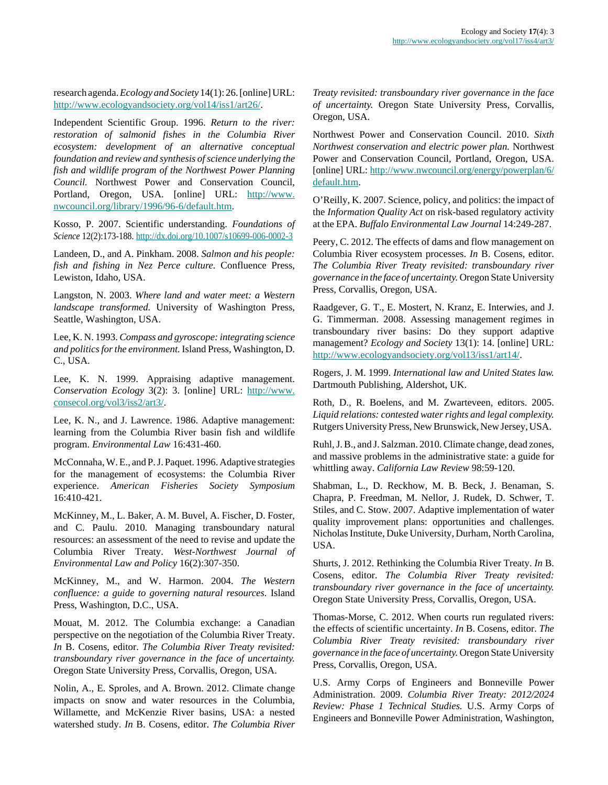research agenda. *Ecology and Society* 14(1): 26. [online] URL: <http://www.ecologyandsociety.org/vol14/iss1/art26/>.

Independent Scientific Group. 1996. *Return to the river: restoration of salmonid fishes in the Columbia River ecosystem: development of an alternative conceptual foundation and review and synthesis of science underlying the fish and wildlife program of the Northwest Power Planning Council.* Northwest Power and Conservation Council, Portland, Oregon, USA. [online] URL: [http://www.](http://www.nwcouncil.org/library/1996/96-6/default.htm) [nwcouncil.org/library/1996/96-6/default.htm](http://www.nwcouncil.org/library/1996/96-6/default.htm).

Kosso, P. 2007. Scientific understanding. *Foundations of Science* 12(2):173-188.<http://dx.doi.org/10.1007/s10699-006-0002-3>

Landeen, D., and A. Pinkham. 2008. *Salmon and his people: fish and fishing in Nez Perce culture.* Confluence Press, Lewiston, Idaho, USA.

Langston, N. 2003. *Where land and water meet: a Western landscape transformed.* University of Washington Press, Seattle, Washington, USA.

Lee, K. N. 1993. *Compass and gyroscope: integrating science and politics for the environment.* Island Press, Washington, D. C., USA.

Lee, K. N. 1999. Appraising adaptive management. *Conservation Ecology* 3(2): 3. [online] URL: [http://www.](http://www.consecol.org/vol3/iss2/art3/) [consecol.org/vol3/iss2/art3/.](http://www.consecol.org/vol3/iss2/art3/)

Lee, K. N., and J. Lawrence. 1986. Adaptive management: learning from the Columbia River basin fish and wildlife program. *Environmental Law* 16:431-460.

McConnaha, W. E., and P. J. Paquet. 1996. Adaptive strategies for the management of ecosystems: the Columbia River experience. *American Fisheries Society Symposium* 16:410-421.

McKinney, M., L. Baker, A. M. Buvel, A. Fischer, D. Foster, and C. Paulu. 2010. Managing transboundary natural resources: an assessment of the need to revise and update the Columbia River Treaty. *West-Northwest Journal of Environmental Law and Policy* 16(2):307-350.

McKinney, M., and W. Harmon. 2004. *The Western confluence: a guide to governing natural resources.* Island Press, Washington, D.C., USA.

Mouat, M. 2012. The Columbia exchange: a Canadian perspective on the negotiation of the Columbia River Treaty. *In* B. Cosens, editor. *The Columbia River Treaty revisited: transboundary river governance in the face of uncertainty.* Oregon State University Press, Corvallis, Oregon, USA.

Nolin, A., E. Sproles, and A. Brown. 2012. Climate change impacts on snow and water resources in the Columbia, Willamette, and McKenzie River basins, USA: a nested watershed study. *In* B. Cosens, editor. *The Columbia River* *Treaty revisited: transboundary river governance in the face of uncertainty.* Oregon State University Press, Corvallis, Oregon, USA.

Northwest Power and Conservation Council. 2010. *Sixth Northwest conservation and electric power plan.* Northwest Power and Conservation Council, Portland, Oregon, USA. [online] URL: [http://www.nwcouncil.org/energy/powerplan/6/](http://www.nwcouncil.org/energy/powerplan/6/default.htm) [default.htm.](http://www.nwcouncil.org/energy/powerplan/6/default.htm)

O'Reilly, K. 2007. Science, policy, and politics: the impact of the *Information Quality Act* on risk-based regulatory activity at the EPA. *Buffalo Environmental Law Journal* 14:249-287.

Peery, C. 2012. The effects of dams and flow management on Columbia River ecosystem processes. *In* B. Cosens, editor. *The Columbia River Treaty revisited: transboundary river governance in the face of uncertainty.* Oregon State University Press, Corvallis, Oregon, USA.

Raadgever, G. T., E. Mostert, N. Kranz, E. Interwies, and J. G. Timmerman. 2008. Assessing management regimes in transboundary river basins: Do they support adaptive management? *Ecology and Society* 13(1): 14. [online] URL: <http://www.ecologyandsociety.org/vol13/iss1/art14/>.

Rogers, J. M. 1999. *International law and United States law.* Dartmouth Publishing, Aldershot, UK.

Roth, D., R. Boelens, and M. Zwarteveen, editors. 2005. *Liquid relations: contested water rights and legal complexity.* Rutgers University Press, New Brunswick, New Jersey, USA.

Ruhl, J. B., and J. Salzman. 2010. Climate change, dead zones, and massive problems in the administrative state: a guide for whittling away. *California Law Review* 98:59-120.

Shabman, L., D. Reckhow, M. B. Beck, J. Benaman, S. Chapra, P. Freedman, M. Nellor, J. Rudek, D. Schwer, T. Stiles, and C. Stow. 2007. Adaptive implementation of water quality improvement plans: opportunities and challenges. Nicholas Institute, Duke University, Durham, North Carolina, USA.

Shurts, J. 2012. Rethinking the Columbia River Treaty. *In* B. Cosens, editor. *The Columbia River Treaty revisited: transboundary river governance in the face of uncertainty.* Oregon State University Press, Corvallis, Oregon, USA.

Thomas-Morse, C. 2012. When courts run regulated rivers: the effects of scientific uncertainty. *In* B. Cosens, editor. *The Columbia River Treaty revisited: transboundary river governance in the face of uncertainty.* Oregon State University Press, Corvallis, Oregon, USA.

U.S. Army Corps of Engineers and Bonneville Power Administration. 2009. *Columbia River Treaty: 2012/2024 Review: Phase 1 Technical Studies.* U.S. Army Corps of Engineers and Bonneville Power Administration, Washington,